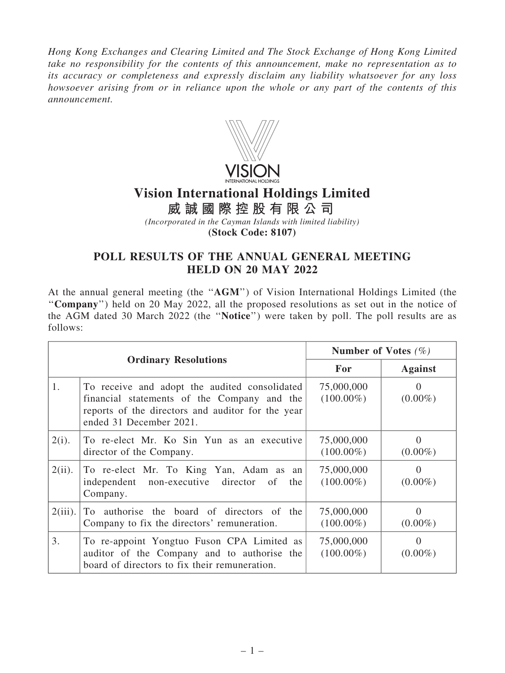*Hong Kong Exchanges and Clearing Limited and The Stock Exchange of Hong Kong Limited take no responsibility for the contents of this announcement, make no representation as to its accuracy or completeness and expressly disclaim any liability whatsoever for any loss howsoever arising from or in reliance upon the whole or any part of the contents of this announcement.*



## **Vision International Holdings Limited**

**威 誠 國 際 控 股 有 限 公 司**

*(Incorporated in the Cayman Islands with limited liability)* **(Stock Code: 8107)**

## POLL RESULTS OF THE ANNUAL GENERAL MEETING HELD ON 20 MAY 2022

At the annual general meeting (the ''AGM'') of Vision International Holdings Limited (the ''Company'') held on 20 May 2022, all the proposed resolutions as set out in the notice of the AGM dated 30 March 2022 (the ''Notice'') were taken by poll. The poll results are as follows:

| <b>Ordinary Resolutions</b> |                                                                                                                                                                              | Number of Votes $(\%)$     |                        |
|-----------------------------|------------------------------------------------------------------------------------------------------------------------------------------------------------------------------|----------------------------|------------------------|
|                             |                                                                                                                                                                              | <b>For</b>                 | <b>Against</b>         |
| 1.                          | To receive and adopt the audited consolidated<br>financial statements of the Company and the<br>reports of the directors and auditor for the year<br>ended 31 December 2021. | 75,000,000<br>$(100.00\%)$ | $\Omega$<br>$(0.00\%)$ |
| $2(i)$ .                    | To re-elect Mr. Ko Sin Yun as an executive<br>director of the Company.                                                                                                       | 75,000,000<br>$(100.00\%)$ | $\Omega$<br>$(0.00\%)$ |
| $2(ii)$ .                   | To re-elect Mr. To King Yan, Adam as an<br>independent<br>non-executive director of<br>the<br>Company.                                                                       | 75,000,000<br>$(100.00\%)$ | $\Omega$<br>$(0.00\%)$ |
| $2(iii)$ .                  | To authorise the board of directors of the<br>Company to fix the directors' remuneration.                                                                                    | 75,000,000<br>$(100.00\%)$ | $(0.00\%)$             |
| 3.                          | To re-appoint Yongtuo Fuson CPA Limited as<br>auditor of the Company and to authorise the<br>board of directors to fix their remuneration.                                   | 75,000,000<br>$(100.00\%)$ | $\Omega$<br>$(0.00\%)$ |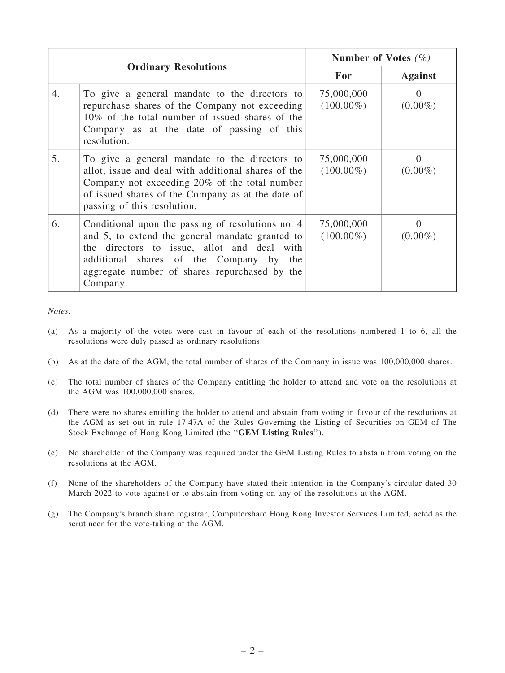| <b>Ordinary Resolutions</b> |                                                                                                                                                                                                                                                             | Number of Votes $(\%)$     |                                 |
|-----------------------------|-------------------------------------------------------------------------------------------------------------------------------------------------------------------------------------------------------------------------------------------------------------|----------------------------|---------------------------------|
|                             |                                                                                                                                                                                                                                                             | For                        | <b>Against</b>                  |
| $\overline{4}$ .            | To give a general mandate to the directors to<br>repurchase shares of the Company not exceeding<br>10% of the total number of issued shares of the<br>Company as at the date of passing of this<br>resolution.                                              | 75,000,000<br>$(100.00\%)$ | $\Omega$<br>$(0.00\%)$          |
| 5.                          | To give a general mandate to the directors to<br>allot, issue and deal with additional shares of the<br>Company not exceeding 20% of the total number<br>of issued shares of the Company as at the date of<br>passing of this resolution.                   | 75,000,000<br>$(100.00\%)$ | $(0.00\%)$                      |
| 6.                          | Conditional upon the passing of resolutions no. 4<br>and 5, to extend the general mandate granted to<br>the directors to issue, allot and deal with<br>additional shares of the Company by the<br>aggregate number of shares repurchased by the<br>Company. | 75,000,000<br>$(100.00\%)$ | $\mathbf{\Omega}$<br>$(0.00\%)$ |

## *Notes:*

- (a) As a majority of the votes were cast in favour of each of the resolutions numbered 1 to 6, all the resolutions were duly passed as ordinary resolutions.
- (b) As at the date of the AGM, the total number of shares of the Company in issue was 100,000,000 shares.
- (c) The total number of shares of the Company entitling the holder to attend and vote on the resolutions at the AGM was 100,000,000 shares.
- (d) There were no shares entitling the holder to attend and abstain from voting in favour of the resolutions at the AGM as set out in rule 17.47A of the Rules Governing the Listing of Securities on GEM of The Stock Exchange of Hong Kong Limited (the ''GEM Listing Rules'').
- (e) No shareholder of the Company was required under the GEM Listing Rules to abstain from voting on the resolutions at the AGM.
- (f) None of the shareholders of the Company have stated their intention in the Company's circular dated 30 March 2022 to vote against or to abstain from voting on any of the resolutions at the AGM.
- (g) The Company's branch share registrar, Computershare Hong Kong Investor Services Limited, acted as the scrutineer for the vote-taking at the AGM.